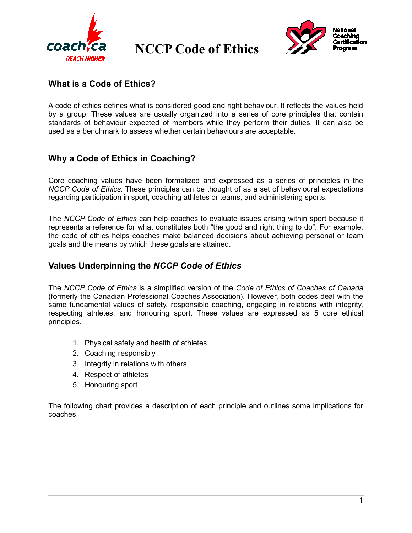

 **NCCP Code of Ethics**



## **What is a Code of Ethics?**

A code of ethics defines what is considered good and right behaviour. It reflects the values held by a group. These values are usually organized into a series of core principles that contain standards of behaviour expected of members while they perform their duties. It can also be used as a benchmark to assess whether certain behaviours are acceptable.

## **Why a Code of Ethics in Coaching?**

Core coaching values have been formalized and expressed as a series of principles in the *NCCP Code of Ethics*. These principles can be thought of as a set of behavioural expectations regarding participation in sport, coaching athletes or teams, and administering sports.

The *NCCP Code of Ethics* can help coaches to evaluate issues arising within sport because it represents a reference for what constitutes both "the good and right thing to do". For example, the code of ethics helps coaches make balanced decisions about achieving personal or team goals and the means by which these goals are attained.

## **Values Underpinning the** *NCCP Code of Ethics*

The *NCCP Code of Ethics* is a simplified version of the *Code of Ethics of Coaches of Canada* (formerly the Canadian Professional Coaches Association). However, both codes deal with the same fundamental values of safety, responsible coaching, engaging in relations with integrity, respecting athletes, and honouring sport. These values are expressed as 5 core ethical principles.

- 1. Physical safety and health of athletes
- 2. Coaching responsibly
- 3. Integrity in relations with others
- 4. Respect of athletes
- 5. Honouring sport

The following chart provides a description of each principle and outlines some implications for coaches.